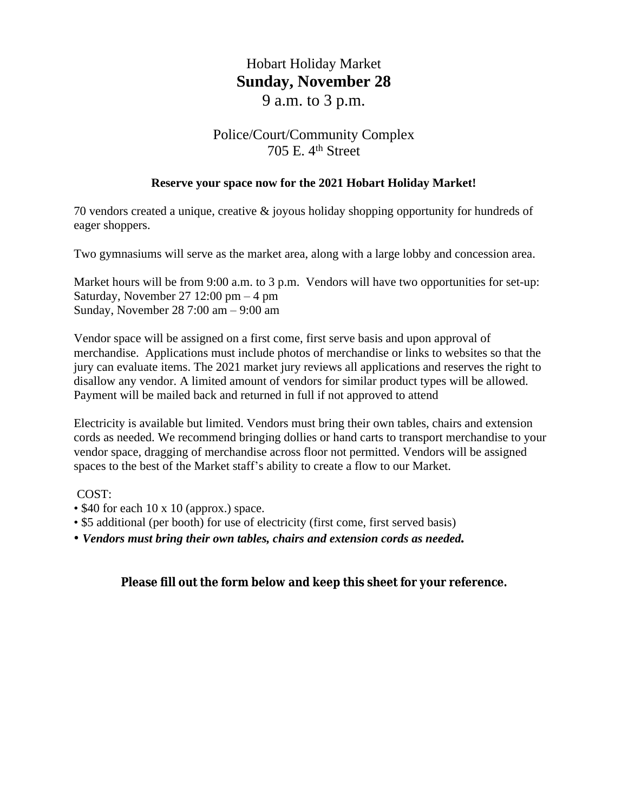## Hobart Holiday Market **Sunday, November 28** 9 a.m. to 3 p.m.

# Police/Court/Community Complex

### 705 E. 4th Street

#### **Reserve your space now for the 2021 Hobart Holiday Market!**

70 vendors created a unique, creative & joyous holiday shopping opportunity for hundreds of eager shoppers.

Two gymnasiums will serve as the market area, along with a large lobby and concession area.

Market hours will be from 9:00 a.m. to 3 p.m. Vendors will have two opportunities for set-up: Saturday, November 27 12:00 pm  $-4$  pm Sunday, November 28 7:00 am – 9:00 am

Vendor space will be assigned on a first come, first serve basis and upon approval of merchandise. Applications must include photos of merchandise or links to websites so that the jury can evaluate items. The 2021 market jury reviews all applications and reserves the right to disallow any vendor. A limited amount of vendors for similar product types will be allowed. Payment will be mailed back and returned in full if not approved to attend

Electricity is available but limited. Vendors must bring their own tables, chairs and extension cords as needed. We recommend bringing dollies or hand carts to transport merchandise to your vendor space, dragging of merchandise across floor not permitted. Vendors will be assigned spaces to the best of the Market staff's ability to create a flow to our Market.

#### COST:

- \$40 for each 10 x 10 (approx.) space.
- \$5 additional (per booth) for use of electricity (first come, first served basis)
- *Vendors must bring their own tables, chairs and extension cords as needed.*

#### **Please fill out the form below and keep this sheet for your reference.**